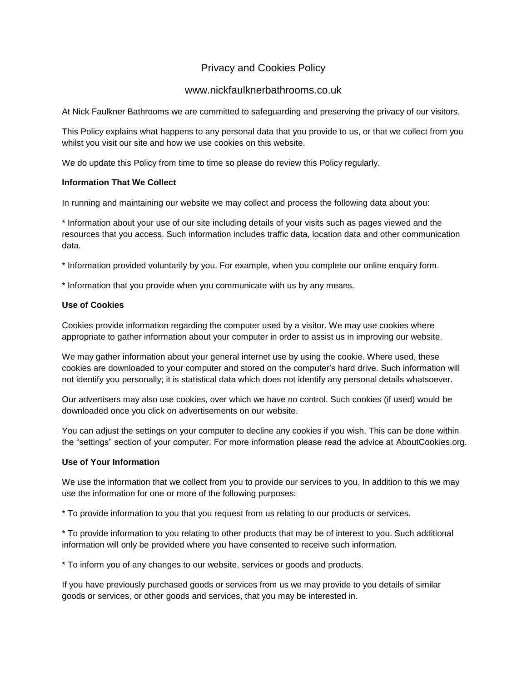# Privacy and Cookies Policy

### www.nickfaulknerbathrooms.co.uk

At Nick Faulkner Bathrooms we are committed to safeguarding and preserving the privacy of our visitors.

This Policy explains what happens to any personal data that you provide to us, or that we collect from you whilst you visit our site and how we use cookies on this website.

We do update this Policy from time to time so please do review this Policy regularly.

#### **Information That We Collect**

In running and maintaining our website we may collect and process the following data about you:

\* Information about your use of our site including details of your visits such as pages viewed and the resources that you access. Such information includes traffic data, location data and other communication data.

\* Information provided voluntarily by you. For example, when you complete our online enquiry form.

\* Information that you provide when you communicate with us by any means.

#### **Use of Cookies**

Cookies provide information regarding the computer used by a visitor. We may use cookies where appropriate to gather information about your computer in order to assist us in improving our website.

We may gather information about your general internet use by using the cookie. Where used, these cookies are downloaded to your computer and stored on the computer's hard drive. Such information will not identify you personally; it is statistical data which does not identify any personal details whatsoever.

Our advertisers may also use cookies, over which we have no control. Such cookies (if used) would be downloaded once you click on advertisements on our website.

You can adjust the settings on your computer to decline any cookies if you wish. This can be done within the "settings" section of your computer. For more information please read the advice at AboutCookies.org.

#### **Use of Your Information**

We use the information that we collect from you to provide our services to you. In addition to this we may use the information for one or more of the following purposes:

\* To provide information to you that you request from us relating to our products or services.

\* To provide information to you relating to other products that may be of interest to you. Such additional information will only be provided where you have consented to receive such information.

\* To inform you of any changes to our website, services or goods and products.

If you have previously purchased goods or services from us we may provide to you details of similar goods or services, or other goods and services, that you may be interested in.